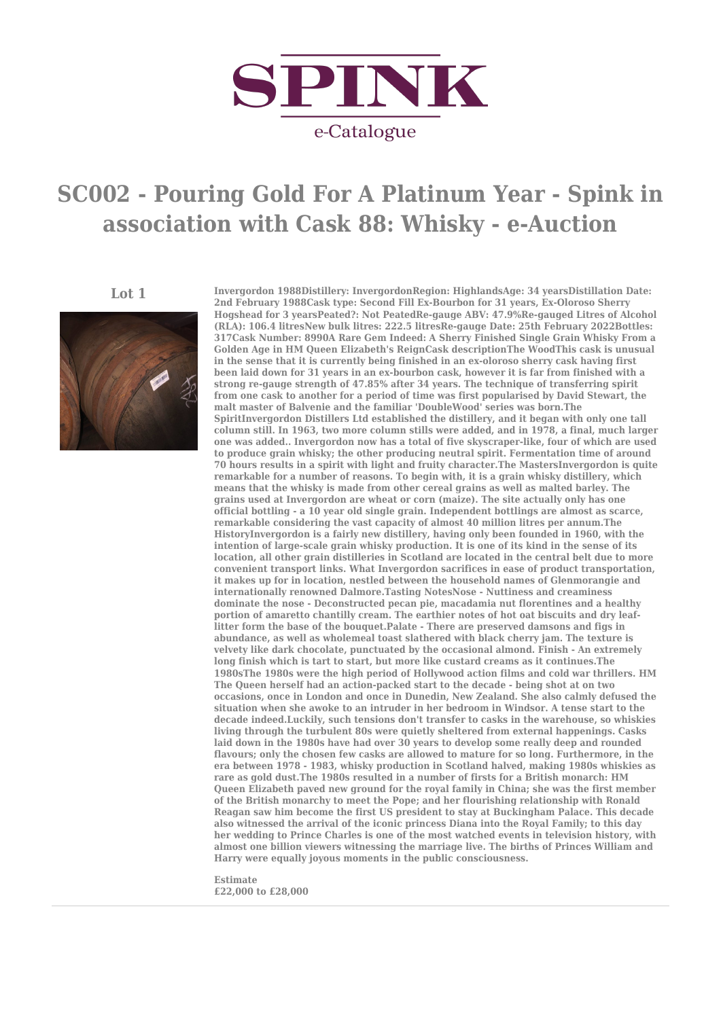

## **SC002 - Pouring Gold For A Platinum Year - Spink in association with Cask 88: Whisky - e-Auction**



**Lot 1 Invergordon 1988Distillery: InvergordonRegion: HighlandsAge: 34 yearsDistillation Date: 2nd February 1988Cask type: Second Fill Ex-Bourbon for 31 years, Ex-Oloroso Sherry Hogshead for 3 yearsPeated?: Not PeatedRe-gauge ABV: 47.9%Re-gauged Litres of Alcohol (RLA): 106.4 litresNew bulk litres: 222.5 litresRe-gauge Date: 25th February 2022Bottles: 317Cask Number: 8990A Rare Gem Indeed: A Sherry Finished Single Grain Whisky From a Golden Age in HM Queen Elizabeth's ReignCask descriptionThe WoodThis cask is unusual in the sense that it is currently being finished in an ex-oloroso sherry cask having first been laid down for 31 years in an ex-bourbon cask, however it is far from finished with a strong re-gauge strength of 47.85% after 34 years. The technique of transferring spirit from one cask to another for a period of time was first popularised by David Stewart, the malt master of Balvenie and the familiar 'DoubleWood' series was born.The SpiritInvergordon Distillers Ltd established the distillery, and it began with only one tall column still. In 1963, two more column stills were added, and in 1978, a final, much larger one was added.. Invergordon now has a total of five skyscraper-like, four of which are used to produce grain whisky; the other producing neutral spirit. Fermentation time of around 70 hours results in a spirit with light and fruity character.The MastersInvergordon is quite remarkable for a number of reasons. To begin with, it is a grain whisky distillery, which means that the whisky is made from other cereal grains as well as malted barley. The grains used at Invergordon are wheat or corn (maize). The site actually only has one official bottling - a 10 year old single grain. Independent bottlings are almost as scarce, remarkable considering the vast capacity of almost 40 million litres per annum.The HistoryInvergordon is a fairly new distillery, having only been founded in 1960, with the intention of large-scale grain whisky production. It is one of its kind in the sense of its location, all other grain distilleries in Scotland are located in the central belt due to more convenient transport links. What Invergordon sacrifices in ease of product transportation, it makes up for in location, nestled between the household names of Glenmorangie and internationally renowned Dalmore.Tasting NotesNose - Nuttiness and creaminess dominate the nose - Deconstructed pecan pie, macadamia nut florentines and a healthy portion of amaretto chantilly cream. The earthier notes of hot oat biscuits and dry leaflitter form the base of the bouquet.Palate - There are preserved damsons and figs in abundance, as well as wholemeal toast slathered with black cherry jam. The texture is velvety like dark chocolate, punctuated by the occasional almond. Finish - An extremely long finish which is tart to start, but more like custard creams as it continues.The 1980sThe 1980s were the high period of Hollywood action films and cold war thrillers. HM The Queen herself had an action-packed start to the decade - being shot at on two occasions, once in London and once in Dunedin, New Zealand. She also calmly defused the situation when she awoke to an intruder in her bedroom in Windsor. A tense start to the decade indeed.Luckily, such tensions don't transfer to casks in the warehouse, so whiskies living through the turbulent 80s were quietly sheltered from external happenings. Casks laid down in the 1980s have had over 30 years to develop some really deep and rounded flavours; only the chosen few casks are allowed to mature for so long. Furthermore, in the era between 1978 - 1983, whisky production in Scotland halved, making 1980s whiskies as rare as gold dust.The 1980s resulted in a number of firsts for a British monarch: HM Queen Elizabeth paved new ground for the royal family in China; she was the first member of the British monarchy to meet the Pope; and her flourishing relationship with Ronald Reagan saw him become the first US president to stay at Buckingham Palace. This decade also witnessed the arrival of the iconic princess Diana into the Royal Family; to this day her wedding to Prince Charles is one of the most watched events in television history, with almost one billion viewers witnessing the marriage live. The births of Princes William and Harry were equally joyous moments in the public consciousness.**

> **Estimate £22,000 to £28,000**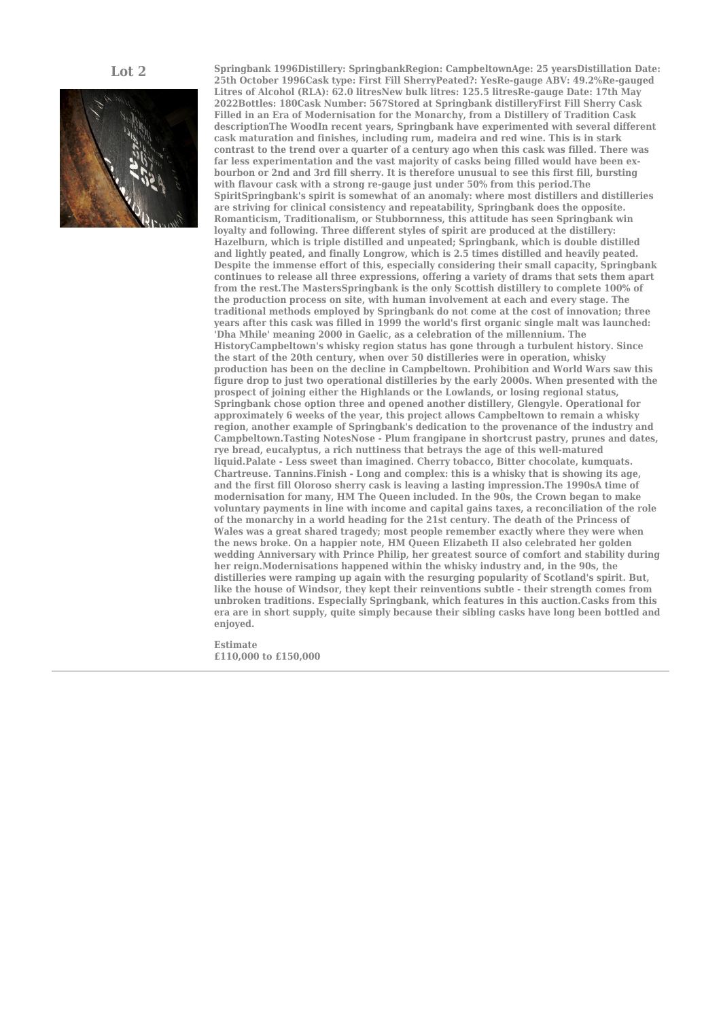

**Lot 2 Springbank 1996Distillery: SpringbankRegion: CampbeltownAge: 25 yearsDistillation Date: 25th October 1996Cask type: First Fill SherryPeated?: YesRe-gauge ABV: 49.2%Re-gauged** Litres of Alcohol (RLA): 62.0 litresNew bulk litres: 125.5 litresRe-gauge Date: 17th May **2022Bottles: 180Cask Number: 567Stored at Springbank distilleryFirst Fill Sherry Cask Filled in an Era of Modernisation for the Monarchy, from a Distillery of Tradition Cask descriptionThe WoodIn recent years, Springbank have experimented with several different cask maturation and finishes, including rum, madeira and red wine. This is in stark contrast to the trend over a quarter of a century ago when this cask was filled. There was far less experimentation and the vast majority of casks being filled would have been exbourbon or 2nd and 3rd fill sherry. It is therefore unusual to see this first fill, bursting with flavour cask with a strong re-gauge just under 50% from this period.The SpiritSpringbank's spirit is somewhat of an anomaly: where most distillers and distilleries are striving for clinical consistency and repeatability, Springbank does the opposite. Romanticism, Traditionalism, or Stubbornness, this attitude has seen Springbank win loyalty and following. Three different styles of spirit are produced at the distillery: Hazelburn, which is triple distilled and unpeated; Springbank, which is double distilled and lightly peated, and finally Longrow, which is 2.5 times distilled and heavily peated. Despite the immense effort of this, especially considering their small capacity, Springbank continues to release all three expressions, offering a variety of drams that sets them apart from the rest.The MastersSpringbank is the only Scottish distillery to complete 100% of the production process on site, with human involvement at each and every stage. The traditional methods employed by Springbank do not come at the cost of innovation; three years after this cask was filled in 1999 the world's first organic single malt was launched: 'Dha Mhile' meaning 2000 in Gaelic, as a celebration of the millennium. The HistoryCampbeltown's whisky region status has gone through a turbulent history. Since the start of the 20th century, when over 50 distilleries were in operation, whisky production has been on the decline in Campbeltown. Prohibition and World Wars saw this figure drop to just two operational distilleries by the early 2000s. When presented with the prospect of joining either the Highlands or the Lowlands, or losing regional status, Springbank chose option three and opened another distillery, Glengyle. Operational for approximately 6 weeks of the year, this project allows Campbeltown to remain a whisky region, another example of Springbank's dedication to the provenance of the industry and Campbeltown.Tasting NotesNose - Plum frangipane in shortcrust pastry, prunes and dates, rye bread, eucalyptus, a rich nuttiness that betrays the age of this well-matured liquid.Palate - Less sweet than imagined. Cherry tobacco, Bitter chocolate, kumquats. Chartreuse. Tannins.Finish - Long and complex: this is a whisky that is showing its age, and the first fill Oloroso sherry cask is leaving a lasting impression.The 1990sA time of modernisation for many, HM The Queen included. In the 90s, the Crown began to make voluntary payments in line with income and capital gains taxes, a reconciliation of the role of the monarchy in a world heading for the 21st century. The death of the Princess of Wales was a great shared tragedy; most people remember exactly where they were when the news broke. On a happier note, HM Queen Elizabeth II also celebrated her golden wedding Anniversary with Prince Philip, her greatest source of comfort and stability during her reign.Modernisations happened within the whisky industry and, in the 90s, the distilleries were ramping up again with the resurging popularity of Scotland's spirit. But, like the house of Windsor, they kept their reinventions subtle - their strength comes from unbroken traditions. Especially Springbank, which features in this auction.Casks from this era are in short supply, quite simply because their sibling casks have long been bottled and enjoyed.**

> **Estimate £110,000 to £150,000**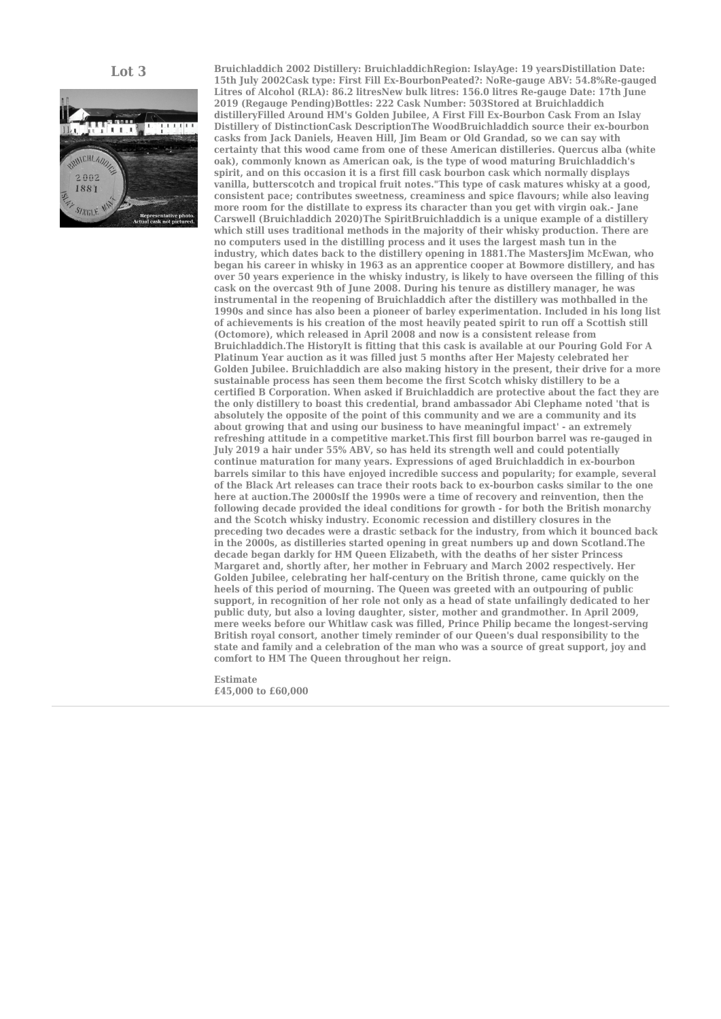

**Lot 3 Bruichladdich 2002 Distillery: BruichladdichRegion: IslayAge: 19 yearsDistillation Date: 15th July 2002Cask type: First Fill Ex-BourbonPeated?: NoRe-gauge ABV: 54.8%Re-gauged** Litres of Alcohol (RLA): 86.2 litresNew bulk litres: 156.0 litres Re-gauge Date: 17th June **2019 (Regauge Pending)Bottles: 222 Cask Number: 503Stored at Bruichladdich distilleryFilled Around HM's Golden Jubilee, A First Fill Ex-Bourbon Cask From an Islay Distillery of DistinctionCask DescriptionThe WoodBruichladdich source their ex-bourbon casks from Jack Daniels, Heaven Hill, Jim Beam or Old Grandad, so we can say with certainty that this wood came from one of these American distilleries. Quercus alba (white oak), commonly known as American oak, is the type of wood maturing Bruichladdich's spirit, and on this occasion it is a first fill cask bourbon cask which normally displays vanilla, butterscotch and tropical fruit notes."This type of cask matures whisky at a good, consistent pace; contributes sweetness, creaminess and spice flavours; while also leaving more room for the distillate to express its character than you get with virgin oak.- Jane Carswell (Bruichladdich 2020)The SpiritBruichladdich is a unique example of a distillery which still uses traditional methods in the majority of their whisky production. There are no computers used in the distilling process and it uses the largest mash tun in the industry, which dates back to the distillery opening in 1881.The MastersJim McEwan, who began his career in whisky in 1963 as an apprentice cooper at Bowmore distillery, and has over 50 years experience in the whisky industry, is likely to have overseen the filling of this cask on the overcast 9th of June 2008. During his tenure as distillery manager, he was instrumental in the reopening of Bruichladdich after the distillery was mothballed in the 1990s and since has also been a pioneer of barley experimentation. Included in his long list of achievements is his creation of the most heavily peated spirit to run off a Scottish still (Octomore), which released in April 2008 and now is a consistent release from Bruichladdich.The HistoryIt is fitting that this cask is available at our Pouring Gold For A Platinum Year auction as it was filled just 5 months after Her Majesty celebrated her Golden Jubilee. Bruichladdich are also making history in the present, their drive for a more sustainable process has seen them become the first Scotch whisky distillery to be a certified B Corporation. When asked if Bruichladdich are protective about the fact they are the only distillery to boast this credential, brand ambassador Abi Clephame noted 'that is absolutely the opposite of the point of this community and we are a community and its about growing that and using our business to have meaningful impact' - an extremely refreshing attitude in a competitive market.This first fill bourbon barrel was re-gauged in July 2019 a hair under 55% ABV, so has held its strength well and could potentially continue maturation for many years. Expressions of aged Bruichladdich in ex-bourbon barrels similar to this have enjoyed incredible success and popularity; for example, several of the Black Art releases can trace their roots back to ex-bourbon casks similar to the one here at auction.The 2000sIf the 1990s were a time of recovery and reinvention, then the following decade provided the ideal conditions for growth - for both the British monarchy and the Scotch whisky industry. Economic recession and distillery closures in the preceding two decades were a drastic setback for the industry, from which it bounced back in the 2000s, as distilleries started opening in great numbers up and down Scotland.The decade began darkly for HM Queen Elizabeth, with the deaths of her sister Princess Margaret and, shortly after, her mother in February and March 2002 respectively. Her Golden Jubilee, celebrating her half-century on the British throne, came quickly on the heels of this period of mourning. The Queen was greeted with an outpouring of public support, in recognition of her role not only as a head of state unfailingly dedicated to her public duty, but also a loving daughter, sister, mother and grandmother. In April 2009, mere weeks before our Whitlaw cask was filled, Prince Philip became the longest-serving British royal consort, another timely reminder of our Queen's dual responsibility to the state and family and a celebration of the man who was a source of great support, joy and comfort to HM The Queen throughout her reign.**

> **Estimate £45,000 to £60,000**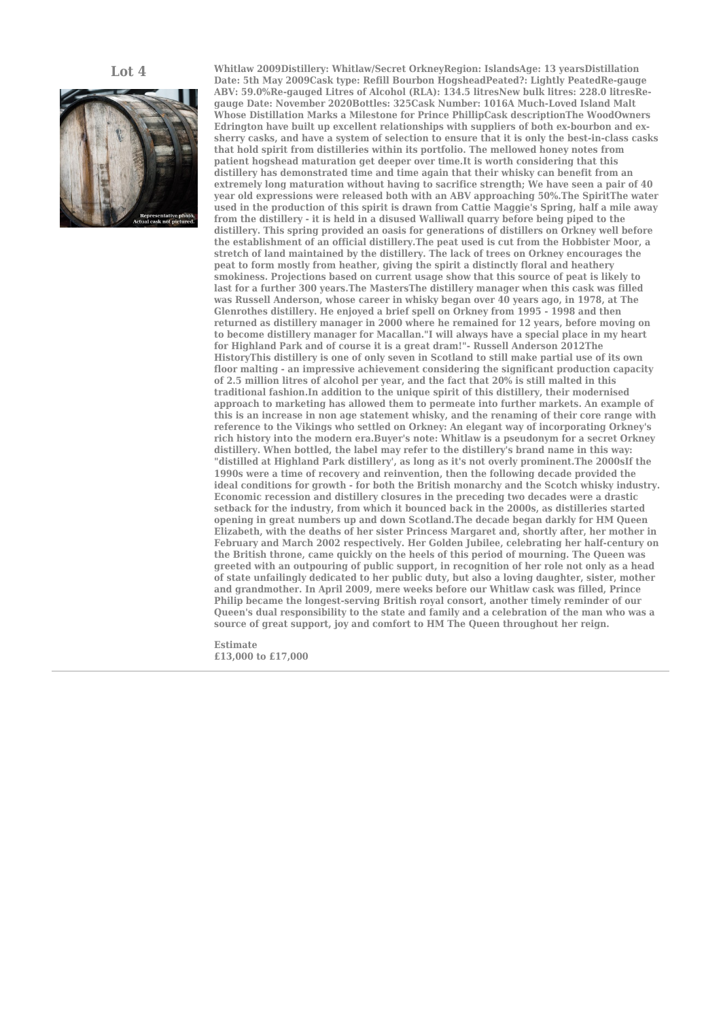

**Lot 4 Whitlaw 2009Distillery: Whitlaw/Secret OrkneyRegion: IslandsAge: 13 yearsDistillation Date: 5th May 2009Cask type: Refill Bourbon HogsheadPeated?: Lightly PeatedRe-gauge** ABV: 59.0%Re-gauged Litres of Alcohol (RLA): 134.5 litresNew bulk litres: 228.0 litresRe**gauge Date: November 2020Bottles: 325Cask Number: 1016A Much-Loved Island Malt Whose Distillation Marks a Milestone for Prince PhillipCask descriptionThe WoodOwners Edrington have built up excellent relationships with suppliers of both ex-bourbon and exsherry casks, and have a system of selection to ensure that it is only the best-in-class casks that hold spirit from distilleries within its portfolio. The mellowed honey notes from patient hogshead maturation get deeper over time.It is worth considering that this distillery has demonstrated time and time again that their whisky can benefit from an extremely long maturation without having to sacrifice strength; We have seen a pair of 40 year old expressions were released both with an ABV approaching 50%.The SpiritThe water used in the production of this spirit is drawn from Cattie Maggie's Spring, half a mile away from the distillery - it is held in a disused Walliwall quarry before being piped to the distillery. This spring provided an oasis for generations of distillers on Orkney well before the establishment of an official distillery.The peat used is cut from the Hobbister Moor, a stretch of land maintained by the distillery. The lack of trees on Orkney encourages the peat to form mostly from heather, giving the spirit a distinctly floral and heathery smokiness. Projections based on current usage show that this source of peat is likely to last for a further 300 years.The MastersThe distillery manager when this cask was filled was Russell Anderson, whose career in whisky began over 40 years ago, in 1978, at The Glenrothes distillery. He enjoyed a brief spell on Orkney from 1995 - 1998 and then returned as distillery manager in 2000 where he remained for 12 years, before moving on to become distillery manager for Macallan."I will always have a special place in my heart for Highland Park and of course it is a great dram!"- Russell Anderson 2012The HistoryThis distillery is one of only seven in Scotland to still make partial use of its own floor malting - an impressive achievement considering the significant production capacity of 2.5 million litres of alcohol per year, and the fact that 20% is still malted in this traditional fashion.In addition to the unique spirit of this distillery, their modernised approach to marketing has allowed them to permeate into further markets. An example of this is an increase in non age statement whisky, and the renaming of their core range with reference to the Vikings who settled on Orkney: An elegant way of incorporating Orkney's rich history into the modern era.Buyer's note: Whitlaw is a pseudonym for a secret Orkney distillery. When bottled, the label may refer to the distillery's brand name in this way: "distilled at Highland Park distillery', as long as it's not overly prominent.The 2000sIf the 1990s were a time of recovery and reinvention, then the following decade provided the ideal conditions for growth - for both the British monarchy and the Scotch whisky industry. Economic recession and distillery closures in the preceding two decades were a drastic setback for the industry, from which it bounced back in the 2000s, as distilleries started opening in great numbers up and down Scotland.The decade began darkly for HM Queen Elizabeth, with the deaths of her sister Princess Margaret and, shortly after, her mother in February and March 2002 respectively. Her Golden Jubilee, celebrating her half-century on the British throne, came quickly on the heels of this period of mourning. The Queen was greeted with an outpouring of public support, in recognition of her role not only as a head of state unfailingly dedicated to her public duty, but also a loving daughter, sister, mother and grandmother. In April 2009, mere weeks before our Whitlaw cask was filled, Prince Philip became the longest-serving British royal consort, another timely reminder of our Queen's dual responsibility to the state and family and a celebration of the man who was a source of great support, joy and comfort to HM The Queen throughout her reign.**

> **Estimate £13,000 to £17,000**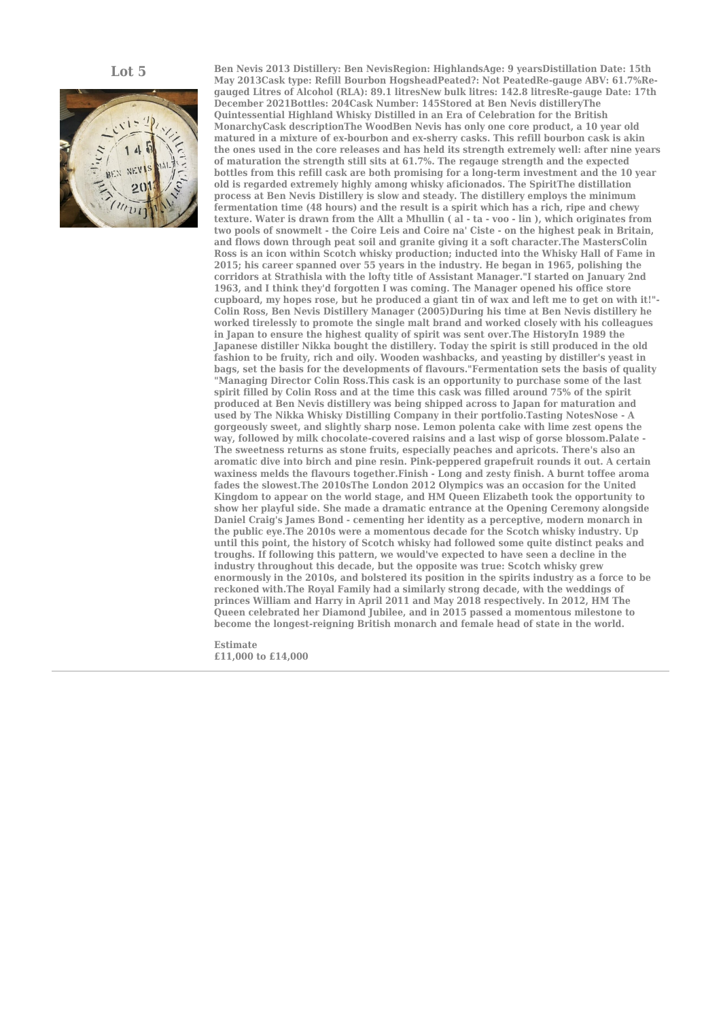

**Lot 5 Ben Nevis 2013 Distillery: Ben NevisRegion: HighlandsAge: 9 yearsDistillation Date: 15th May 2013Cask type: Refill Bourbon HogsheadPeated?: Not PeatedRe-gauge ABV: 61.7%Regauged Litres of Alcohol (RLA): 89.1 litresNew bulk litres: 142.8 litresRe-gauge Date: 17th December 2021Bottles: 204Cask Number: 145Stored at Ben Nevis distilleryThe Quintessential Highland Whisky Distilled in an Era of Celebration for the British MonarchyCask descriptionThe WoodBen Nevis has only one core product, a 10 year old matured in a mixture of ex-bourbon and ex-sherry casks. This refill bourbon cask is akin the ones used in the core releases and has held its strength extremely well: after nine years of maturation the strength still sits at 61.7%. The regauge strength and the expected bottles from this refill cask are both promising for a long-term investment and the 10 year old is regarded extremely highly among whisky aficionados. The SpiritThe distillation process at Ben Nevis Distillery is slow and steady. The distillery employs the minimum fermentation time (48 hours) and the result is a spirit which has a rich, ripe and chewy texture. Water is drawn from the Allt a Mhullin ( al - ta - voo - lin ), which originates from two pools of snowmelt - the Coire Leis and Coire na' Ciste - on the highest peak in Britain, and flows down through peat soil and granite giving it a soft character.The MastersColin Ross is an icon within Scotch whisky production; inducted into the Whisky Hall of Fame in 2015; his career spanned over 55 years in the industry. He began in 1965, polishing the corridors at Strathisla with the lofty title of Assistant Manager."I started on January 2nd 1963, and I think they'd forgotten I was coming. The Manager opened his office store cupboard, my hopes rose, but he produced a giant tin of wax and left me to get on with it!"- Colin Ross, Ben Nevis Distillery Manager (2005)During his time at Ben Nevis distillery he worked tirelessly to promote the single malt brand and worked closely with his colleagues in Japan to ensure the highest quality of spirit was sent over.The HistoryIn 1989 the Japanese distiller Nikka bought the distillery. Today the spirit is still produced in the old fashion to be fruity, rich and oily. Wooden washbacks, and yeasting by distiller's yeast in bags, set the basis for the developments of flavours."Fermentation sets the basis of quality "Managing Director Colin Ross.This cask is an opportunity to purchase some of the last spirit filled by Colin Ross and at the time this cask was filled around 75% of the spirit produced at Ben Nevis distillery was being shipped across to Japan for maturation and used by The Nikka Whisky Distilling Company in their portfolio.Tasting NotesNose - A gorgeously sweet, and slightly sharp nose. Lemon polenta cake with lime zest opens the way, followed by milk chocolate-covered raisins and a last wisp of gorse blossom.Palate - The sweetness returns as stone fruits, especially peaches and apricots. There's also an aromatic dive into birch and pine resin. Pink-peppered grapefruit rounds it out. A certain waxiness melds the flavours together.Finish - Long and zesty finish. A burnt toffee aroma fades the slowest.The 2010sThe London 2012 Olympics was an occasion for the United Kingdom to appear on the world stage, and HM Queen Elizabeth took the opportunity to show her playful side. She made a dramatic entrance at the Opening Ceremony alongside Daniel Craig's James Bond - cementing her identity as a perceptive, modern monarch in the public eye.The 2010s were a momentous decade for the Scotch whisky industry. Up until this point, the history of Scotch whisky had followed some quite distinct peaks and troughs. If following this pattern, we would've expected to have seen a decline in the industry throughout this decade, but the opposite was true: Scotch whisky grew enormously in the 2010s, and bolstered its position in the spirits industry as a force to be reckoned with.The Royal Family had a similarly strong decade, with the weddings of princes William and Harry in April 2011 and May 2018 respectively. In 2012, HM The Queen celebrated her Diamond Jubilee, and in 2015 passed a momentous milestone to become the longest-reigning British monarch and female head of state in the world.**

> **Estimate £11,000 to £14,000**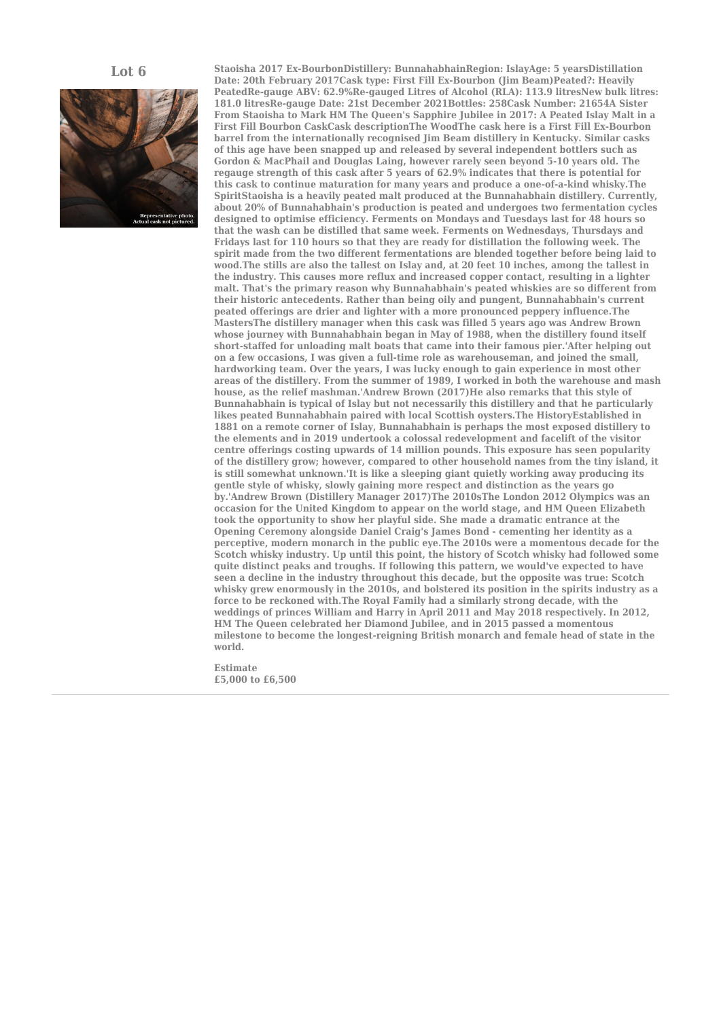

**Lot 6 Staoisha 2017 Ex-BourbonDistillery: BunnahabhainRegion: IslayAge: 5 yearsDistillation Date: 20th February 2017Cask type: First Fill Ex-Bourbon (Jim Beam)Peated?: Heavily** PeatedRe-gauge ABV: 62.9%Re-gauged Litres of Alcohol (RLA): 113.9 litresNew bulk litres: **181.0 litresRe-gauge Date: 21st December 2021Bottles: 258Cask Number: 21654A Sister From Staoisha to Mark HM The Queen's Sapphire Jubilee in 2017: A Peated Islay Malt in a First Fill Bourbon CaskCask descriptionThe WoodThe cask here is a First Fill Ex-Bourbon barrel from the internationally recognised Jim Beam distillery in Kentucky. Similar casks of this age have been snapped up and released by several independent bottlers such as Gordon & MacPhail and Douglas Laing, however rarely seen beyond 5-10 years old. The regauge strength of this cask after 5 years of 62.9% indicates that there is potential for this cask to continue maturation for many years and produce a one-of-a-kind whisky.The SpiritStaoisha is a heavily peated malt produced at the Bunnahabhain distillery. Currently, about 20% of Bunnahabhain's production is peated and undergoes two fermentation cycles designed to optimise efficiency. Ferments on Mondays and Tuesdays last for 48 hours so that the wash can be distilled that same week. Ferments on Wednesdays, Thursdays and Fridays last for 110 hours so that they are ready for distillation the following week. The spirit made from the two different fermentations are blended together before being laid to wood.The stills are also the tallest on Islay and, at 20 feet 10 inches, among the tallest in the industry. This causes more reflux and increased copper contact, resulting in a lighter malt. That's the primary reason why Bunnahabhain's peated whiskies are so different from their historic antecedents. Rather than being oily and pungent, Bunnahabhain's current peated offerings are drier and lighter with a more pronounced peppery influence.The MastersThe distillery manager when this cask was filled 5 years ago was Andrew Brown whose journey with Bunnahabhain began in May of 1988, when the distillery found itself short-staffed for unloading malt boats that came into their famous pier.'After helping out on a few occasions, I was given a full-time role as warehouseman, and joined the small, hardworking team. Over the years, I was lucky enough to gain experience in most other areas of the distillery. From the summer of 1989, I worked in both the warehouse and mash house, as the relief mashman.'Andrew Brown (2017)He also remarks that this style of Bunnahabhain is typical of Islay but not necessarily this distillery and that he particularly likes peated Bunnahabhain paired with local Scottish oysters.The HistoryEstablished in 1881 on a remote corner of Islay, Bunnahabhain is perhaps the most exposed distillery to the elements and in 2019 undertook a colossal redevelopment and facelift of the visitor centre offerings costing upwards of 14 million pounds. This exposure has seen popularity of the distillery grow; however, compared to other household names from the tiny island, it is still somewhat unknown.'It is like a sleeping giant quietly working away producing its gentle style of whisky, slowly gaining more respect and distinction as the years go by.'Andrew Brown (Distillery Manager 2017)The 2010sThe London 2012 Olympics was an occasion for the United Kingdom to appear on the world stage, and HM Queen Elizabeth took the opportunity to show her playful side. She made a dramatic entrance at the Opening Ceremony alongside Daniel Craig's James Bond - cementing her identity as a perceptive, modern monarch in the public eye.The 2010s were a momentous decade for the Scotch whisky industry. Up until this point, the history of Scotch whisky had followed some quite distinct peaks and troughs. If following this pattern, we would've expected to have seen a decline in the industry throughout this decade, but the opposite was true: Scotch whisky grew enormously in the 2010s, and bolstered its position in the spirits industry as a force to be reckoned with.The Royal Family had a similarly strong decade, with the weddings of princes William and Harry in April 2011 and May 2018 respectively. In 2012, HM The Queen celebrated her Diamond Jubilee, and in 2015 passed a momentous milestone to become the longest-reigning British monarch and female head of state in the world.**

> **Estimate £5,000 to £6,500**